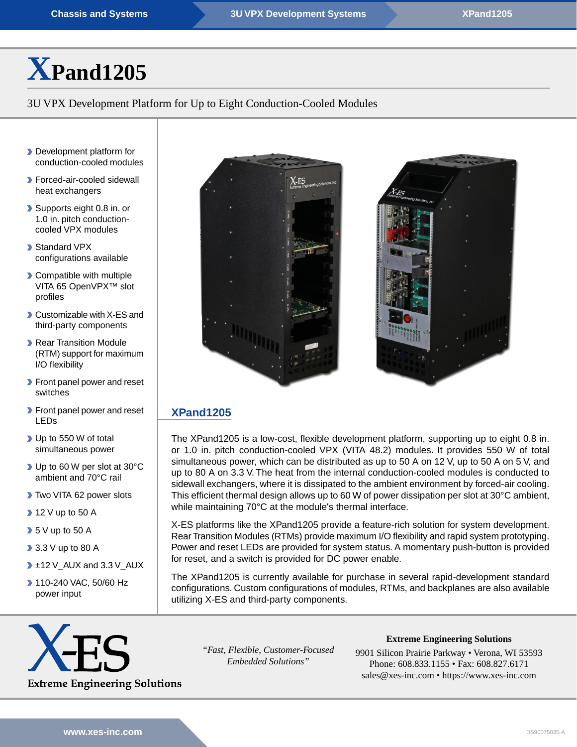# **[X](https://www.xes-inc.com/products/development-systems/xpand1205/?utm_source=dynamic&utm_medium=referral&utm_term=XPand1205&utm_content=Title&utm_campaign=Datasheet)[Pand1205](https://www.xes-inc.com/products/development-systems/xpand1205/?utm_source=dynamic&utm_medium=referral&utm_term=XPand1205&utm_content=Title&utm_campaign=Datasheet)**

## 3U VPX Development Platform for Up to Eight Conduction-Cooled Modules

- **Development platform for** conduction-cooled modules
- **Forced-air-cooled sidewall** heat exchangers
- Supports eight 0.8 in. or 1.0 in. pitch conductioncooled VPX modules
- Standard VPX configurations available
- **Compatible with multiple** VITA 65 OpenVPX™ slot profiles
- **Customizable with X-ES and** third-party components
- **Rear Transition Module** (RTM) support for maximum I/O flexibility
- **Front panel power and reset** switches
- **Front panel power and reset** LEDs
- ▶ Up to 550 W of total simultaneous power
- ▶ Up to 60 W per slot at 30°C ambient and 70°C rail
- Two VITA 62 power slots
- ▶ 12 V up to 50 A
- ▶ 5 V up to 50 A
- 3.3 V up to 80 A
- ±12 V\_AUX and 3.3 V\_AUX
- **110-240 VAC, 50/60 Hz** power input



*"Fast, Flexible, Customer-Focused Embedded Solutions"*

**Extreme Engineering Solutions**

9901 Silicon Prairie Parkway • Verona, WI 53593 Phone: 608.833.1155 • Fax: 608.827.6171 sales@xes-inc.com • <https://www.xes-inc.com>



## **[XPand1205](https://www.xes-inc.com/products/development-systems/xpand1205/?utm_source=dynamic&utm_medium=referral&utm_term=XPand1205&utm_content=Description%20Title&utm_campaign=Datasheet)**

The XPand1205 is a low-cost, flexible development platform, supporting up to eight 0.8 in. or 1.0 in. pitch conduction-cooled VPX (VITA 48.2) modules. It provides 550 W of total simultaneous power, which can be distributed as up to 50 A on 12 V, up to 50 A on 5 V, and up to 80 A on 3.3 V. The heat from the internal conduction-cooled modules is conducted to sidewall exchangers, where it is dissipated to the ambient environment by forced-air cooling. This efficient thermal design allows up to 60 W of power dissipation per slot at 30°C ambient, while maintaining 70°C at the module's thermal interface.

X-ES platforms like the XPand1205 provide a feature-rich solution for system development. Rear Transition Modules (RTMs) provide maximum I/O flexibility and rapid system prototyping. Power and reset LEDs are provided for system status. A momentary push-button is provided for reset, and a switch is provided for DC power enable.

The XPand1205 is currently available for purchase in several rapid-development standard configurations. Custom configurations of modules, RTMs, and backplanes are also available utilizing X-ES and third-party components.